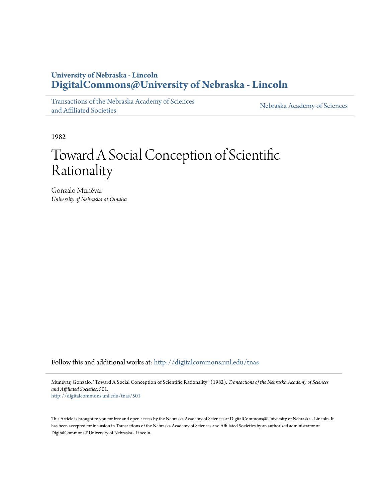# **University of Nebraska - Lincoln [DigitalCommons@University of Nebraska - Lincoln](http://digitalcommons.unl.edu?utm_source=digitalcommons.unl.edu%2Ftnas%2F501&utm_medium=PDF&utm_campaign=PDFCoverPages)**

[Transactions of the Nebraska Academy of Sciences](http://digitalcommons.unl.edu/tnas?utm_source=digitalcommons.unl.edu%2Ftnas%2F501&utm_medium=PDF&utm_campaign=PDFCoverPages) [and Affiliated Societies](http://digitalcommons.unl.edu/tnas?utm_source=digitalcommons.unl.edu%2Ftnas%2F501&utm_medium=PDF&utm_campaign=PDFCoverPages)

[Nebraska Academy of Sciences](http://digitalcommons.unl.edu/nebacadsci?utm_source=digitalcommons.unl.edu%2Ftnas%2F501&utm_medium=PDF&utm_campaign=PDFCoverPages)

1982

# Toward A Social Conception of Scientific Rationality

Gonzalo Munévar *University of Nebraska at Omaha*

Follow this and additional works at: [http://digitalcommons.unl.edu/tnas](http://digitalcommons.unl.edu/tnas?utm_source=digitalcommons.unl.edu%2Ftnas%2F501&utm_medium=PDF&utm_campaign=PDFCoverPages)

Munévar, Gonzalo, "Toward A Social Conception of Scientific Rationality" (1982). *Transactions of the Nebraska Academy of Sciences and Affiliated Societies*. 501.

[http://digitalcommons.unl.edu/tnas/501](http://digitalcommons.unl.edu/tnas/501?utm_source=digitalcommons.unl.edu%2Ftnas%2F501&utm_medium=PDF&utm_campaign=PDFCoverPages)

This Article is brought to you for free and open access by the Nebraska Academy of Sciences at DigitalCommons@University of Nebraska - Lincoln. It has been accepted for inclusion in Transactions of the Nebraska Academy of Sciences and Affiliated Societies by an authorized administrator of DigitalCommons@University of Nebraska - Lincoln.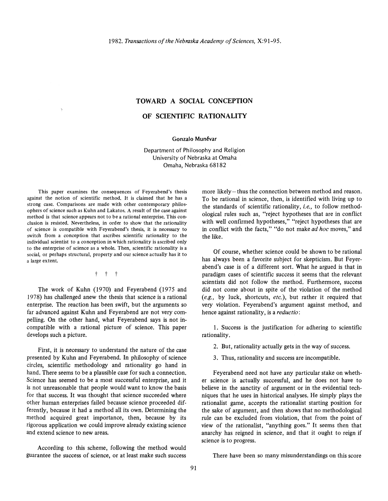## **TOWARD A SOCIAL CONCEPTION**

# **OF SOENTIFIC RATIONALITY**

### Gonzalo Munévar

Department of Philosophy and Religion University of Nebraska at Omaha Omaha, Nebraska 68182

This paper examines the consequences of Feyerabend's thesis against the notion of scientific method. It is claimed that he has a strong case. Comparisons are made with other contemporary philosophers of science such as Kuhn and Lakatos. A result of the case against method is that science appears not to be a rational enterprise. This conclusion is resisted. Nevertheless, in order to show that the rationality of science is compatible with Feyerabend's thesis, it is necessary to switch from a conception that ascribes scientific rationality to the individual scientist to a conception in which rationality is ascribed only to the enterprise of science as a whole. Then, scientific rationality is a social, or perhaps structural, property and our science actually has it to a large extent.

 $\lambda$ 

 $t +$ 

The work of Kuhn (1970) and Feyerabend (1975 and 1978) has challenged anew the thesis that science is a rational enterprise. The reaction has been swift, but the arguments so far advanced against Kuhn and Feyerabend are not very compelling. On the other hand, what Feyerabend says is not incompatible with a rational picture of science. This paper develops such a picture.

First, it is necessary to understand the nature of the case presented by Kuhn and Feyerabend. In philosophy of science circles, scientific methodology and rationality go hand in hand. There seems to be a plausible case for such a connection. Science has seemed to be a most successful enterprise, and it is not unreasonable that people would want to know the basis for that success. It was thought that science succeeded where other human enterprises failed because science proceeded differently, because it had a method all its own. Determining the method acquired great importance, then, because by its rigorous application we could improve already existing science and extend science to new areas.

According to this scheme, following the method would guarantee the success of science, or at least make such success more likely-thus the connection between method and reason. To be rational in science, then, is identified with living up to the standards of scientific rationality, *i.e.,* to follow methodological rules such as, "reject hypotheses that are in conflict with well confirmed hypotheses," "reject hypotheses that are in conflict with the facts," "do not make *ad hoc* moves," and the like.

Of course, whether science could be shown to be rational has always been a favorite subject for skepticism. But Feyerabend's case is of a different sort. What he argued is that in paradigm cases of scientific success it seems that the relevant scientists did not follow the method. Furthermore, success did not come about in spite of the violation of the method *(e.g.,* by luck, shortcuts, *etc.),* but rather it required that very violation. Feyerabend's argument against method, and hence against rationality, is a *reductio:* 

1. Success is the justification for adhering to scientific rationality.

2. But, rationality actually gets in the way of success.

3. Thus, rationality and success are incompatible.

Feyerabend need not have any particular stake on whether science is actually successful, and he does not have to believe in the sanctity of argument or in the evidential techniques that he uses in historical analyses. He simply plays the rationalist game, accepts the rationalist starting position for the sake of argument, and then shows that no methodological rule can be excluded from violation, that from the point of view of the rationalist, "anything goes." It seems then that anarchy has reigned in science, and that it ought to reign if science is to progress.

There have been so many misunderstandings on this score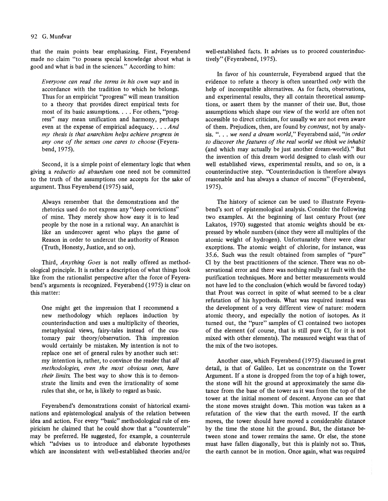that the main points bear emphasizing. First, Feyerabend made no claim "to possess special knowledge about what is good and what is bad in the sciences." According to him:

*Everyone can read the terms in his own way* and in accordance with the tradition to which he belongs. Thus for an empiricist "progress" will mean transition to a theory that provides direct empirical tests for most of its basic assumptions. . . . For others, "progress" may mean unification and harmony, perhaps even at the expense of empirical adequacy .... *And my thesis is that anarchism helps achieve progress in*  any one of the senses one cares to choose (Feyerabend, 1975).

Second, it is a simple point of elementary logic that when giving a *reductio ad absurdum* one need not be committed to the truth of the assumptions one accepts for the sake of argument. Thus Feyerabend (1975) said,

Always remember that the demonstrations and the rhetorics used do not express any "deep convictions" of mine. They merely show how easy it is to lead people by the nose in a rational way. An anarchist is like an undercover agent who plays the game of Reason in order to undercut the authority of Reason (Truth, Honesty, Justice, and so on).

Third, *Anything Goes* is not really offered as methodological principle. It is rather a description of what things look like from the rationalist perspective after the force of Feyerabend's arguments is recognized. Feyerabend(1975) is clear on this matter:

One might get the impression that I recommend a new methodology which replaces induction by counterinduction and uses a multiplicity of theories, metaphysical views, fairy-tales instead of the customary pair theory/observation. This impression would certainly be mistaken. My intention is not to replace one set of general rules by another such set: my intention is, rather, to convince the reader that *all methodologies, even the most obvious ones, have their limits.* The best way to show this is to demonstrate the limits and even the irrationality of some rules that she, or he, is likely to regard as basic.

Feyerabend's demonstrations consist of historical examinations and epistemological analysis of the relation between idea and action. For every "basic" methodological rule of empiricism he claimed that he could show that a "counterrule" may be preferred. He suggested, for example, a counterrule which "advises us to introduce and elaborate hypotheses which are inconsistent with well-established theories and/or well-established facts. It advises us to proceed counterinductively" (Feyerabend, 1975).

In favor of his counterrule, Feyerabend argued that the evidence to refute a theory is often unearthed *only* with the help of incompatible alternatives. As for facts, observations, and experimental results, they all contain theoretical assumptions, or assert them by the manner of their use. But, those assumptions which shape our view of the world are often not accessible to direct criticism, for usually we are not even aware of them. Prejudices, then, are found by *contrast,* not by analysis. ". . . *we need a dream world*," Feyerabend said, "*in order to discover the features of the real world we think we inhabit*  (and which may actually be just another dream-world)." But the invention of this dream world designed to clash with our well established views, experimental results, and so on, is a counterinductive step. "Counterinduction is therefore always reasonable and has always a chance of success" (Feyerabend, 1975).

The history of science can be used to illustrate Feyerabend's sort of epistemological analysis. Consider the following two examples. At the beginning of last century Prout *(see*  Lakatos, 1970) suggested that atomic weights should be expressed by whole numbers (since they were all multiples of the atomic weight of hydrogen). Unfortunately there were clear exceptions. The atomic weight of chlorine, for instance, was 35.6. Such was the result obtained from samples of "pure" Cl by the best practitioners of the science. There was no observational error and there was nothing really at fault with the purification techniques. More and better measurements would not have led to the conclusion (which would be favored today) that Prout was correct in spite of what seemed to be a clear refutation of his hypothesis. What was required instead was the development of a very different view of nature: modern atomic theory, and especially the notion of isotopes. As it turned out, the "pure" samples of Cl contained two isotopes of the element (of course, that is still pure Cl, for it is not mixed with other elements). The measured weight was that of the mix of the two isotopes.

Another case, which Feyerabend (1975) discussed in great detail, is that of Galileo. Let us concentrate on the Tower Argument. If a stone is dropped from the top of a high tower, the stone will hit the ground at approximately the same distance from the base of the tower as it was from the top of the tower at the initial moment of descent. Anyone can see that the stone moves straight down. This motion was taken as a refutation of the view that the earth moved. If the earth moves, the tower should have moved a considerable distance by the time the stone hit the ground. But, the distance between stone and tower remains the same. Or else, the stone must have fallen diagonally, but this is plainly not so. Thus, the earth cannot be in motion. Once again, what was required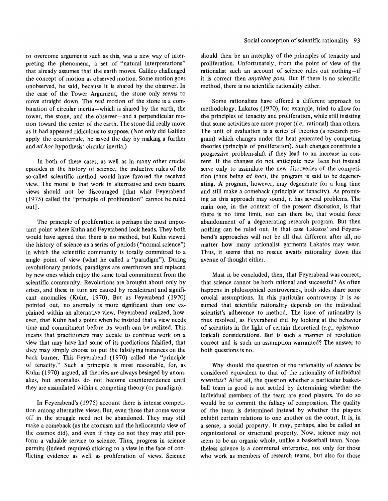to overcome arguments such as this, was a new way of interpreting the phenomena, a set of "natural interpretations" that already assumes that the earth moves. Galileo challenged the concept of motion as observed motion. Some motion goes unobserved, he said, because it is shared by the observer. In the case of the Tower Argument, the stone only *seems* to move straight down. The *real* motion of the stone is a combination of circular inertia-which is shared by the earth, the tower, the stone, and the observer-and a perpendicular motion toward the center of the earth. The stone did really move as it had appeared ridiculous to suppose. (Not only did Galileo apply the counterrule, he saved the day by making a further and *ad hoc* hypothesis: circular inertia.)

In both of these cases, as well as in many other crucial episodes in the history of science, the inductive rules of the so-called scientific method would have favored the received view. The moral is that work in alternative and even bizarre views should not be discouraged [that what Feyerabend (l975) called the "principle of proliferation" cannot be ruled out] .

The principle of proliferation is perhaps the most important point where Kuhn and Feyerabend lock heads. They both would have agreed that there is no method, but Kuhn viewed the history of science as a series of periods ("normal science") in which the scientific community is totally committed to a single point of view (what he called a "paradigm"). During revolutionary periods, paradigms are overthrown and replaced by new ones which enjoy the same total commitment from the scientific community. Revolutions are brought about only by crises, and these in turn are caused by recalcitrant and significant anomalies (Kuhn, 1970). But as Feyerabend (1970) pointed out, no anomaly is more significant than one explained within an alternative view. Feyerabend realized, however, that Kuhn had a point when he insisted that a view needs time and commitment before its worth can be realized. This means that practitioners may decide to continue work on a view that may have had some of its predictions falsified, that they may simply choose to put the falsifying instances on the back burner. This Feyerabend (1970) called the "principle of tenacity." Such a principle is most reasonable, for, as Kuhn (1970) argued, all theories are always besieged by anomalies, but anomalies do not become counterevidence until they are assimilated within a competing theory (or paradigm).

In Feyerabend's  $(1975)$  account there is intense competition among alternative views. But, even those that come worse off in the struggle need not be abandoned. They may still make a comeback (as the atomism and the heliocentric view of the cosmos did), and even if they do not they may still perform a valuable service to science. Thus, progress in science permits (indeed requires) sticking to a view in the face of conflicting evidence as well as proliferation of views. Science should then be an interplay of the principles of tenacity and proliferation. Unfortunately, from the point of view of the rationalist such an account of science rules out nothing-if it is correct then *anything goes.* But if there is no scientific method, there is no scientific rationality either.

Some rationalists have offered a different approach to methodology. Lakatos (1970), for example, tried to allow for the principles of tenacity and proliferation, while still insisting that some activities are more proper (i. *e.,* rational) than others. The unit of evaluation is a series of theories (a research program) which changes under the heat generated by competing theories (principle of proliferation). Such changes constitute a progressive problem-shift if they lead to an increase in content. If the changes do not anticipate new facts but instead serve only to assimilate the new discoveries of the competition (thus being *ad hoc),* the program is said to be degenerating. A program, however, may degenerate for a long time and still make a comeback (principle of tenacity). As promising as this approach may sound, it has several problems. The main one, in the context of the present discussion, is that there is no time limit, nor can there be, that would force abandonment of a degenerating research program. But then nothing can be ruled out. In that case Lakatos' and Feyerabend's approaches will not be all that different after all, no matter how many rationalist garments Lakatos may wear. Thus, it seems that no rescue awaits rationality down this avenue of thought either.

Must it be concluded, then, that Feyerabend was correct, that science cannot be both rational and successful? As often happens in philosophical controversies, both sides share some crucial assumptions. In this particular controversy it is assumed that scientific rationality depends on the individual scientist's adherence to method. The issue of rationality is thus resolved, as Feyerabend did, by looking at the behavior of scientists in the light of certain theoretical *(e.g.,* epistemological) considerations. But is such a manner of resolution correct and is such an assumption warranted? The answer to both questions is no.

Why should the question of the rationality of *science* be considered equivalent to that of the rationality of individual *scientists?* After all, the question whether a particular basketball team is good is not settled by determining whether the individual members of the team are good players. To do so would be to commit the fallacy of composition. The quality of the team is determined instead by whether the players exhibit certain relations to one another on the court. It is, in a sense, a social property. It may, perhaps, also be called an organizational or structural property. Now, science may not seem to be an organic whole, unlike a basketball team. Nonetheless science is a communal enterprise, not only for those who work as members of research teams, but also for those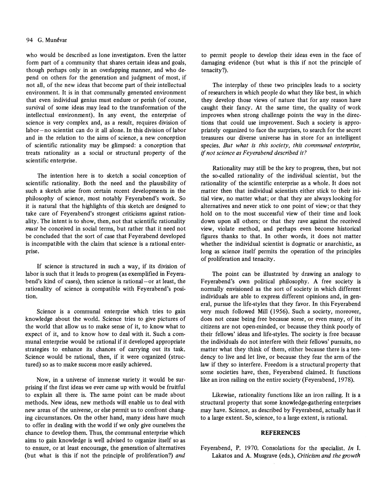#### 94 G. Munévar

who would be described as lone investigators. Even the latter form part of a community that shares certain ideas and goals, though perhaps only in an overlapping manner, and who depend on others for the generation and judgment of most, if not all, of the new ideas that become part of their intellectual environment. It is in that communally generated environment that even individual genius must endure or perish (of course, survival of some ideas may lead to the transformation of the intellectual environment). In any event, the enterprise of science is very complex and, as a result, requires division of  $labor-no scientist can do it all alone. In this division of labor$ and in the relation to the aims of science, a new conception of scientific rationality may be glimpsed: a conception that treats rationality as a social or structural property of the scientific enterprise.

The intention here is to sketch a social conception of scientific rationality. Both the need and the plausibility of such a sketch arise from certain recent developments in the philosophy of science, most notably Feyerabend's work. So it is natural that the highlights of this sketch are designed to take care of Feyerabend's strongest criticisms against rationality. The intent is to show, then, not that scientific rationality *must* be conceived in social terms, but rather that it need not be concluded that the sort of case that Feyerabend developed is incompatible with the claim that science is a rational enterprise.

If science is structured in such away, if its division of labor is such that it leads to progress (as exemplified in Feyerabend's kind of cases), then science is rational-or at least, the rationality of science is compatible with Feyerabend's position.

Science is a communal enterprise which tries to gain knowledge about the world. Science tries to give pictures of the world that allow us to make sense of it, to know what to expect of it, and to know how to deal with it. Such a communal enterprise would be rational if it developed appropriate strategies to enhance its chances of carrying out its task. Science would be rational, then, if it were organized (structured) so as to make success more easily achieved.

Now, in a universe of immense variety it would be surprising if the first ideas we ever came up with would be fruitful to explain all there is. The same point can be made about methods. New ideas, new methods will enable us to deal with new areas of the universe, or else permit us to confront changing circumstances. On the other hand, many ideas have much to offer in dealing with the world if we only give ourselves the chance to develop them. Thus, the communal enterprise which aims to gain knowledge is well advised to organize itself so as to ensure, or at least encourage, the generation of alternatives (but what is this if not the principle of proliferation?) *and* 

to permit people to develop their ideas even in the face of damaging evidence (but what is this if not the principle of tenacity?).

The interplay of these two principles leads to a society of researchers in which people do what they like best, in which they develop those views of nature that for any reason have caught their fancy. At the same time, the quality of work improves when strong challenge points the way in the directions that could use improvement. Such a society is appropriately organized to face the surprises, to search for the secret treasures our diverse universe has in store for an intelligent species. *But what is this society, this communal enterprise,*  if *not science as Feyerabend described it?* 

Rationality may still be the key to progress, then, but not the so-called rationality of the individual scientist, but the rationality of the scientific enterprise as a whole. It does not matter then that individual scientists either stick to their initial view, no matter what; or that they are always looking for alternatives and never stick to one point of view; or that they hold on to the most successful view of their time and look down upon all others; or that they rave against the received view, violate method, and perhaps even become historical figures thanks to that. In other words, it does not matter whether the individual scientist is dogmatic or anarchistic, as long as science itself permits the operation of the principles of proliferation and tenacity.

The point can be illustrated by drawing an analogy to Feyerabend's own political philosophy. A free society is normally envisioned as the sort of society in which different individuals are able to express different opinions and, in general, pursue the life-styles that they favor. In this Feyerabend very much followed Mill (1956). Such a society, moreover, does not cease being free because some, or even many, of its citizens are not open-minded, or because they think poorly of their fellows' ideas and life-styles. The society is free because the individuals do not interfere with their fellows' pursuits, no matter what they think of them, either because there is a tendency to live and let live, or because they fear the arm of the law if they so interfere. Freedom is a structural property that some societies have, then, Feyerabend claimed. It functions like an iron railing on the entire society (Feyerabend, 1978).

Likewise, rationality functions like an iron railing. It is a structural property that some knowledge-gathering enterprises may have. Science, as described by Feyerabend, actually has it to a large extent. So, science, to a large extent, is rational.

#### **REFERENCES**

Feyerabend, P. 1970. Consolations for the specialist. *In* I. Lakatos and A. Musgrave (eds.), *Criticism and the growth*